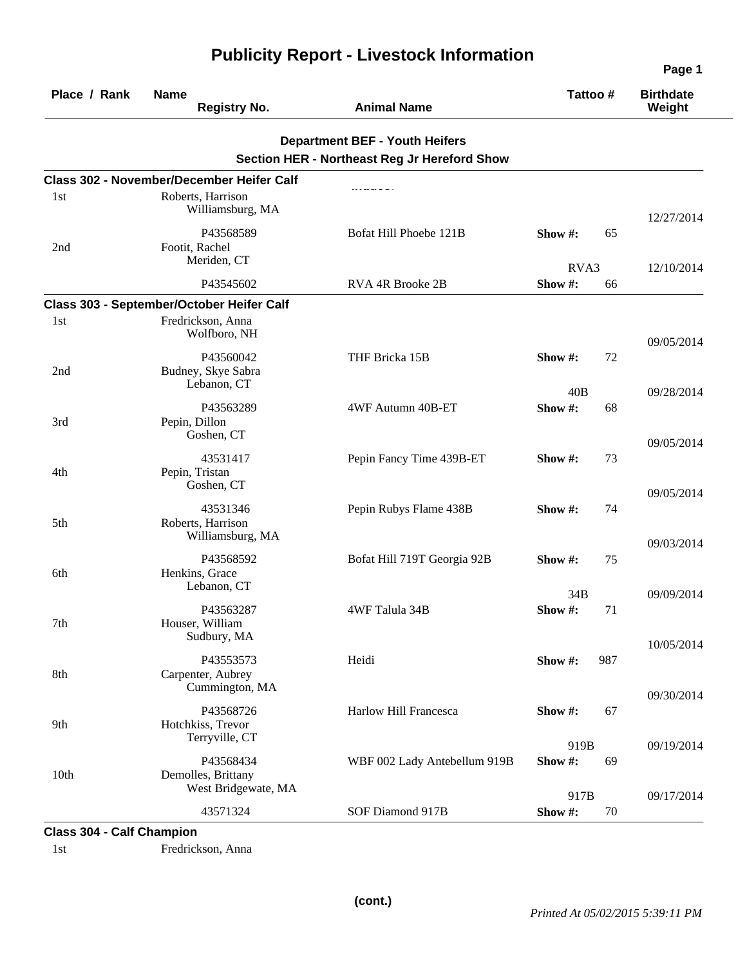| Place / Rank     | <b>Name</b><br><b>Registry No.</b>                              | <b>Animal Name</b>                                                                           | Tattoo#        |     | <b>Birthdate</b><br>Weight |  |
|------------------|-----------------------------------------------------------------|----------------------------------------------------------------------------------------------|----------------|-----|----------------------------|--|
|                  |                                                                 | <b>Department BEF - Youth Heifers</b><br><b>Section HER - Northeast Reg Jr Hereford Show</b> |                |     |                            |  |
|                  | <b>Class 302 - November/December Heifer Calf</b>                |                                                                                              |                |     |                            |  |
| 1st              | Roberts, Harrison<br>Williamsburg, MA                           |                                                                                              |                |     | 12/27/2014                 |  |
| 2nd              | P43568589<br>Footit, Rachel<br>Meriden, CT                      | Bofat Hill Phoebe 121B                                                                       | Show#:         | 65  |                            |  |
|                  | P43545602                                                       | RVA 4R Brooke 2B                                                                             | RVA3<br>Show#: | 66  | 12/10/2014                 |  |
|                  | Class 303 - September/October Heifer Calf                       |                                                                                              |                |     |                            |  |
| 1st              | Fredrickson, Anna<br>Wolfboro, NH                               |                                                                                              |                |     | 09/05/2014                 |  |
| 2nd              | P43560042<br>Budney, Skye Sabra<br>Lebanon, CT                  | THF Bricka 15B                                                                               | Show #:        | 72  |                            |  |
|                  |                                                                 |                                                                                              | 40B            |     | 09/28/2014                 |  |
| 3rd              | P43563289<br>Pepin, Dillon<br>Goshen, CT                        | 4WF Autumn 40B-ET                                                                            | Show#:         | 68  |                            |  |
| 4th              | 43531417<br>Pepin, Tristan<br>Goshen, CT                        | Pepin Fancy Time 439B-ET                                                                     | Show #:        | 73  | 09/05/2014                 |  |
| 5th              | 43531346<br>Roberts, Harrison<br>Williamsburg, MA               | Pepin Rubys Flame 438B                                                                       | Show #:        | 74  | 09/05/2014                 |  |
| 6th              | P43568592<br>Henkins, Grace                                     | Bofat Hill 719T Georgia 92B                                                                  | Show #:        | 75  | 09/03/2014                 |  |
| 7th              | Lebanon, CT<br>P43563287<br>Houser, William                     | 4WF Talula 34B                                                                               | 34B<br>Show#:  | 71  | 09/09/2014                 |  |
| 8th              | Sudbury, MA<br>P43553573<br>Carpenter, Aubrey<br>Cummington, MA | Heidi                                                                                        | Show #:        | 987 | 10/05/2014                 |  |
| 9th              | P43568726<br>Hotchkiss, Trevor                                  | Harlow Hill Francesca                                                                        | Show#:         | 67  | 09/30/2014                 |  |
|                  | Terryville, CT                                                  |                                                                                              | 919B           |     | 09/19/2014                 |  |
| 10 <sub>th</sub> | P43568434<br>Demolles, Brittany<br>West Bridgewate, MA          | WBF 002 Lady Antebellum 919B                                                                 | Show#:         | 69  |                            |  |
|                  |                                                                 |                                                                                              | 917B           |     | 09/17/2014                 |  |
|                  | 43571324                                                        | SOF Diamond 917B                                                                             | Show #:        | 70  |                            |  |

**Class 304 - Calf Champion** 

1st Fredrickson, Anna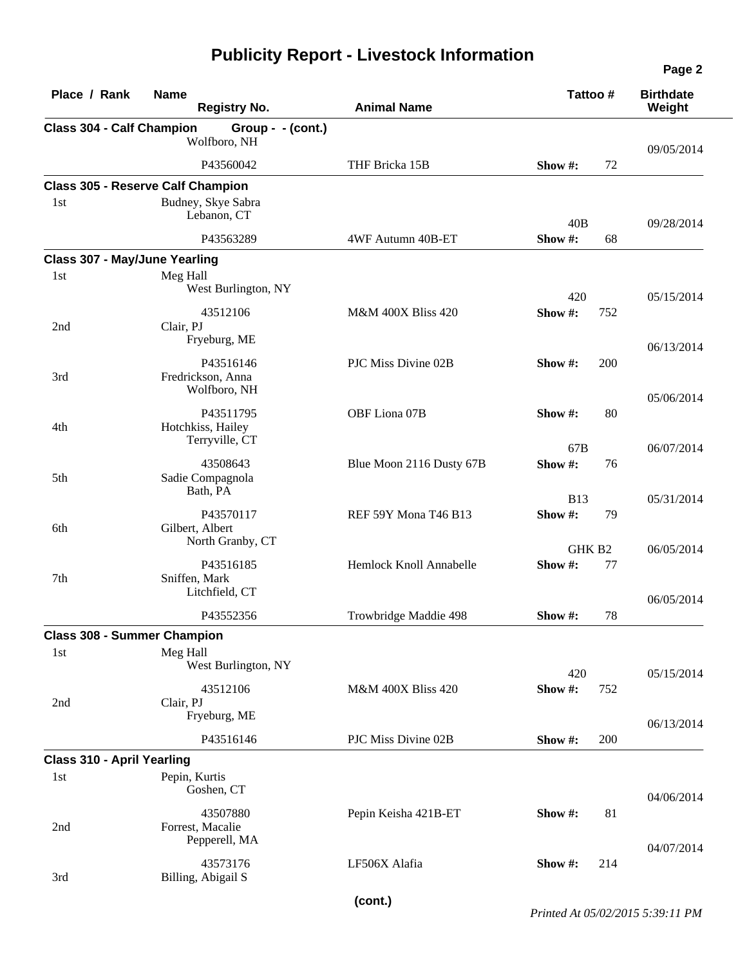| Place / Rank                         | <b>Name</b><br><b>Registry No.</b>               | <b>Animal Name</b>            | Tattoo#                            | <b>Birthdate</b><br>Weight |
|--------------------------------------|--------------------------------------------------|-------------------------------|------------------------------------|----------------------------|
| <b>Class 304 - Calf Champion</b>     | Group - - (cont.)<br>Wolfboro, NH                |                               |                                    |                            |
|                                      | P43560042                                        | THF Bricka 15B                | Show #:<br>72                      | 09/05/2014                 |
|                                      | <b>Class 305 - Reserve Calf Champion</b>         |                               |                                    |                            |
| 1 <sub>st</sub>                      | Budney, Skye Sabra<br>Lebanon, CT                |                               | 40B                                | 09/28/2014                 |
|                                      | P43563289                                        | 4WF Autumn 40B-ET             | Show#:<br>68                       |                            |
| <b>Class 307 - May/June Yearling</b> |                                                  |                               |                                    |                            |
| 1st                                  | Meg Hall<br>West Burlington, NY                  |                               | 420                                | 05/15/2014                 |
| 2nd                                  | 43512106<br>Clair, PJ<br>Fryeburg, ME            | <b>M&amp;M 400X Bliss 420</b> | Show#:<br>752                      |                            |
| 3rd                                  | P43516146<br>Fredrickson, Anna<br>Wolfboro, NH   | PJC Miss Divine 02B           | Show #:<br>200                     | 06/13/2014                 |
| 4th                                  | P43511795<br>Hotchkiss, Hailey<br>Terryville, CT | OBF Liona 07B                 | 80<br>Show #:                      | 05/06/2014                 |
|                                      |                                                  |                               | 67B                                | 06/07/2014                 |
| 5th                                  | 43508643<br>Sadie Compagnola<br>Bath, PA         | Blue Moon 2116 Dusty 67B      | Show#:<br>76                       |                            |
| 6th                                  | P43570117<br>Gilbert, Albert<br>North Granby, CT | REF 59Y Mona T46 B13          | <b>B13</b><br>Show#:<br>79         | 05/31/2014                 |
| 7th                                  | P43516185<br>Sniffen, Mark<br>Litchfield, CT     | Hemlock Knoll Annabelle       | GHK B <sub>2</sub><br>Show#:<br>77 | 06/05/2014                 |
|                                      | P43552356                                        | Trowbridge Maddie 498         | 78<br>Show $#$ :                   | 06/05/2014                 |
| <b>Class 308 - Summer Champion</b>   |                                                  |                               |                                    |                            |
| 1st                                  | Meg Hall<br>West Burlington, NY                  |                               | 420                                | 05/15/2014                 |
| 2nd                                  | 43512106<br>Clair, PJ<br>Fryeburg, ME            | <b>M&amp;M 400X Bliss 420</b> | Show #:<br>752                     | 06/13/2014                 |
|                                      | P43516146                                        | PJC Miss Divine 02B           | Show #:<br>200                     |                            |
| <b>Class 310 - April Yearling</b>    |                                                  |                               |                                    |                            |
| 1st                                  | Pepin, Kurtis<br>Goshen, CT                      |                               |                                    | 04/06/2014                 |
| 2nd                                  | 43507880<br>Forrest, Macalie<br>Pepperell, MA    | Pepin Keisha 421B-ET          | Show #:<br>81                      | 04/07/2014                 |
| 3rd                                  | 43573176<br>Billing, Abigail S                   | LF506X Alafia                 | Show #:<br>214                     |                            |

**(cont.)**

*Printed At 05/02/2015 5:39:11 PM*

**Page 2**

 $\overline{\phantom{0}}$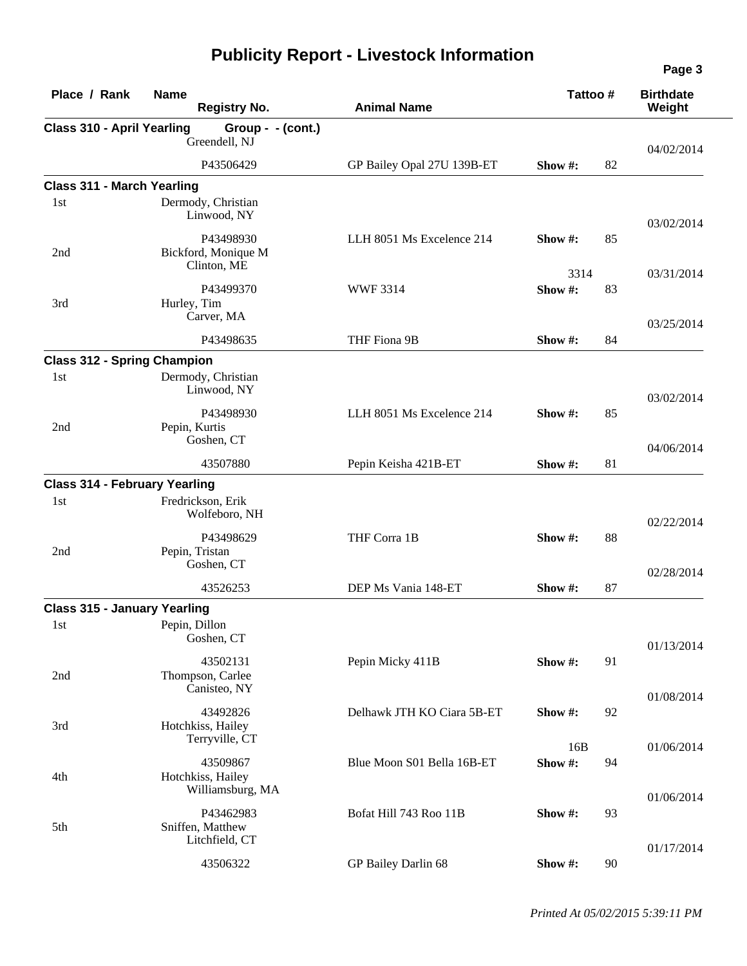| Place / Rank                         | <b>Name</b><br><b>Registry No.</b>                | <b>Animal Name</b>         | Tattoo#               | <b>Birthdate</b><br>Weight |
|--------------------------------------|---------------------------------------------------|----------------------------|-----------------------|----------------------------|
| Class 310 - April Yearling           | Group - - (cont.)<br>Greendell, NJ                |                            |                       | 04/02/2014                 |
|                                      | P43506429                                         | GP Bailey Opal 27U 139B-ET | 82<br>Show #:         |                            |
| <b>Class 311 - March Yearling</b>    |                                                   |                            |                       |                            |
| 1st                                  | Dermody, Christian<br>Linwood, NY                 |                            |                       | 03/02/2014                 |
| 2nd                                  | P43498930<br>Bickford, Monique M<br>Clinton, ME   | LLH 8051 Ms Excelence 214  | 85<br>Show #:<br>3314 | 03/31/2014                 |
| 3rd                                  | P43499370<br>Hurley, Tim<br>Carver, MA            | <b>WWF3314</b>             | Show#:<br>83          |                            |
|                                      | P43498635                                         | THF Fiona 9B               | Show#:<br>84          | 03/25/2014                 |
| <b>Class 312 - Spring Champion</b>   |                                                   |                            |                       |                            |
| 1st                                  | Dermody, Christian<br>Linwood, NY                 |                            |                       | 03/02/2014                 |
| 2nd                                  | P43498930<br>Pepin, Kurtis<br>Goshen, CT          | LLH 8051 Ms Excelence 214  | Show #:<br>85         |                            |
|                                      | 43507880                                          | Pepin Keisha 421B-ET       | 81<br>Show #:         | 04/06/2014                 |
| <b>Class 314 - February Yearling</b> |                                                   |                            |                       |                            |
| 1st                                  | Fredrickson, Erik<br>Wolfeboro, NH                |                            |                       | 02/22/2014                 |
| 2nd                                  | P43498629<br>Pepin, Tristan<br>Goshen, CT         | THF Corra 1B               | 88<br>Show #:         | 02/28/2014                 |
|                                      | 43526253                                          | DEP Ms Vania 148-ET        | Show #:<br>87         |                            |
| <b>Class 315 - January Yearling</b>  |                                                   |                            |                       |                            |
| 1st                                  | Pepin, Dillon<br>Goshen, CT                       |                            |                       | 01/13/2014                 |
| 2nd                                  | 43502131<br>Thompson, Carlee<br>Canisteo, NY      | Pepin Micky 411B           | Show #:<br>91         |                            |
| 3rd                                  | 43492826<br>Hotchkiss, Hailey<br>Terryville, CT   | Delhawk JTH KO Ciara 5B-ET | 92<br>Show #:         | 01/08/2014                 |
| 4th                                  | 43509867<br>Hotchkiss, Hailey<br>Williamsburg, MA | Blue Moon S01 Bella 16B-ET | 16B<br>Show #:<br>94  | 01/06/2014                 |
| 5th                                  | P43462983<br>Sniffen, Matthew<br>Litchfield, CT   | Bofat Hill 743 Roo 11B     | Show #:<br>93         | 01/06/2014                 |
|                                      | 43506322                                          | GP Bailey Darlin 68        | Show #:<br>90         | 01/17/2014                 |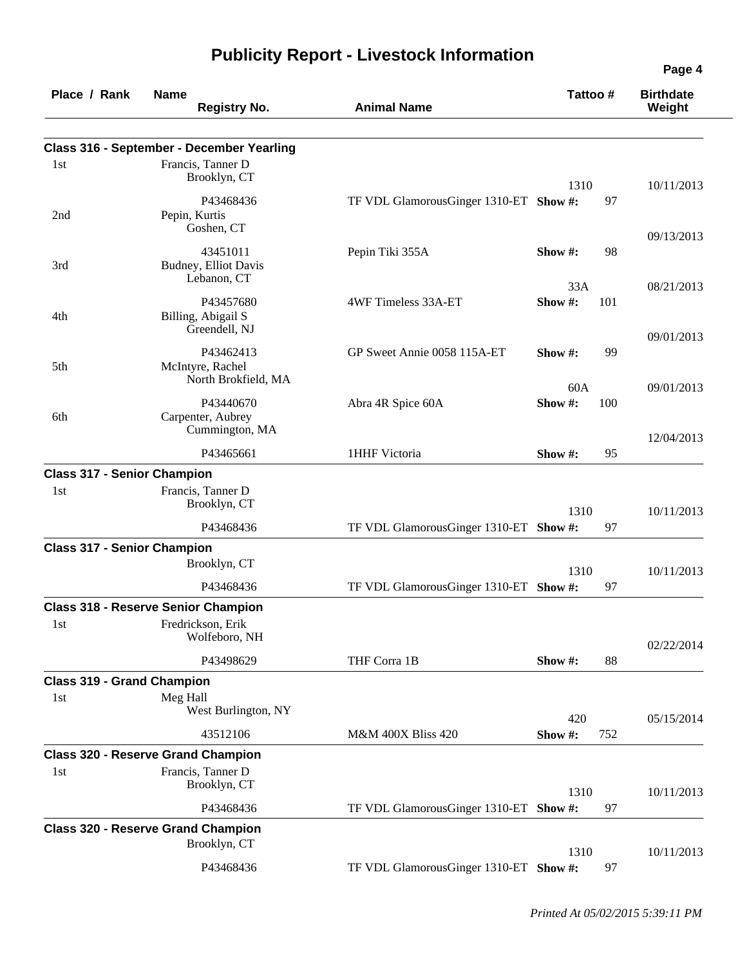| Place / Rank | <b>Name</b>                                | <b>Registry No.</b>                                   | <b>Animal Name</b>                     |                | Tattoo # | <b>Birthdate</b><br>Weight |
|--------------|--------------------------------------------|-------------------------------------------------------|----------------------------------------|----------------|----------|----------------------------|
|              |                                            | Class 316 - September - December Yearling             |                                        |                |          |                            |
| 1st          |                                            | Francis, Tanner D<br>Brooklyn, CT                     |                                        |                |          |                            |
| 2nd          |                                            | P43468436<br>Pepin, Kurtis                            | TF VDL GlamorousGinger 1310-ET Show #: | 1310           | 97       | 10/11/2013                 |
| 3rd          |                                            | Goshen, CT<br>43451011<br>Budney, Elliot Davis        | Pepin Tiki 355A                        | Show $#$ :     | 98       | 09/13/2013                 |
|              |                                            | Lebanon, CT                                           |                                        | 33A            |          | 08/21/2013                 |
| 4th          |                                            | P43457680<br>Billing, Abigail S<br>Greendell, NJ      | 4WF Timeless 33A-ET                    | Show#:         | 101      |                            |
| 5th          |                                            | P43462413<br>McIntyre, Rachel                         | GP Sweet Annie 0058 115A-ET            | Show $\#$ :    | 99       | 09/01/2013                 |
| 6th          |                                            | North Brokfield, MA<br>P43440670<br>Carpenter, Aubrey | Abra 4R Spice 60A                      | 60A<br>Show #: | 100      | 09/01/2013                 |
|              |                                            | Cummington, MA<br>P43465661                           | 1HHF Victoria                          | Show $#$ :     | 95       | 12/04/2013                 |
|              | <b>Class 317 - Senior Champion</b>         |                                                       |                                        |                |          |                            |
| 1st          |                                            | Francis, Tanner D<br>Brooklyn, CT                     |                                        | 1310           |          | 10/11/2013                 |
|              |                                            | P43468436                                             | TF VDL GlamorousGinger 1310-ET Show #: |                | 97       |                            |
|              | <b>Class 317 - Senior Champion</b>         |                                                       |                                        |                |          |                            |
|              |                                            | Brooklyn, CT                                          |                                        | 1310           |          | 10/11/2013                 |
|              |                                            | P43468436                                             | TF VDL GlamorousGinger 1310-ET Show #: |                | 97       |                            |
|              | <b>Class 318 - Reserve Senior Champion</b> |                                                       |                                        |                |          |                            |
| 1st          |                                            | Fredrickson, Erik<br>Wolfeboro, NH                    |                                        |                |          | 02/22/2014                 |
|              |                                            | P43498629                                             | THF Corra 1B                           | Show #:        | 88       |                            |
|              | <b>Class 319 - Grand Champion</b>          |                                                       |                                        |                |          |                            |
| 1st          | Meg Hall                                   | West Burlington, NY                                   |                                        | 420            |          | 05/15/2014                 |
|              |                                            | 43512106                                              | <b>M&amp;M 400X Bliss 420</b>          | Show#:         | 752      |                            |
| 1st          | <b>Class 320 - Reserve Grand Champion</b>  | Francis, Tanner D<br>Brooklyn, CT                     |                                        |                |          |                            |
|              |                                            | P43468436                                             | TF VDL GlamorousGinger 1310-ET Show #: | 1310           | 97       | 10/11/2013                 |
|              | <b>Class 320 - Reserve Grand Champion</b>  | Brooklyn, CT                                          |                                        |                |          |                            |
|              |                                            | P43468436                                             | TF VDL GlamorousGinger 1310-ET Show #: | 1310           | 97       | 10/11/2013                 |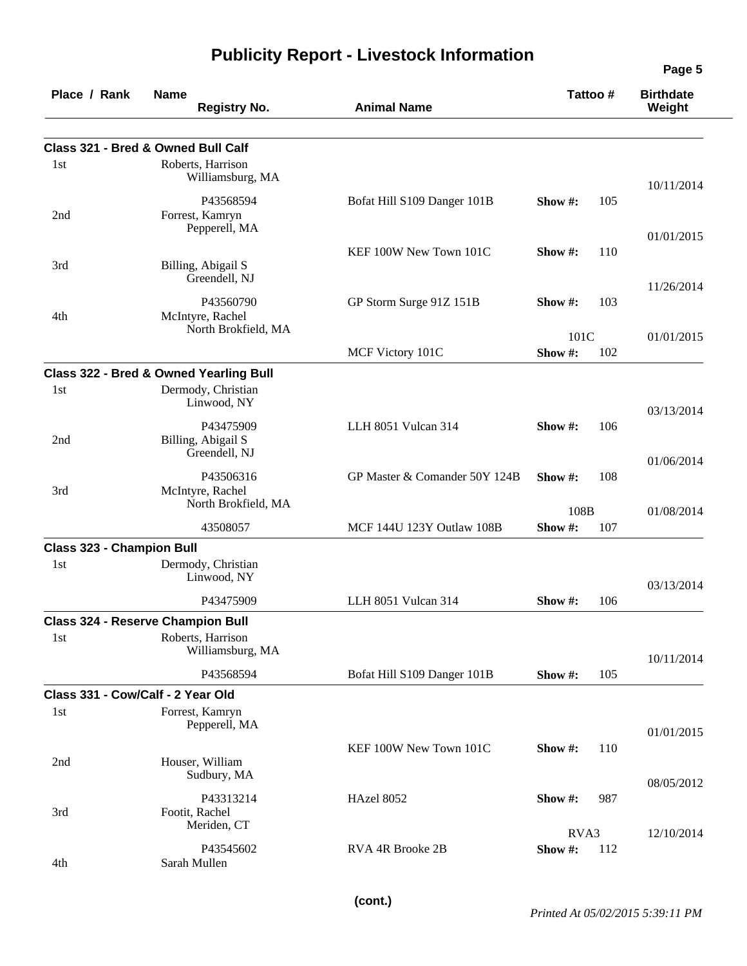| Place / Rank                            | <b>Name</b><br><b>Registry No.</b>                                                     | <b>Animal Name</b>            |            | Tattoo# | <b>Birthdate</b><br>Weight |
|-----------------------------------------|----------------------------------------------------------------------------------------|-------------------------------|------------|---------|----------------------------|
|                                         | Class 321 - Bred & Owned Bull Calf                                                     |                               |            |         |                            |
| 1st                                     | Roberts, Harrison<br>Williamsburg, MA                                                  |                               |            |         |                            |
| 2nd                                     | P43568594<br>Forrest, Kamryn                                                           | Bofat Hill S109 Danger 101B   | Show #:    | 105     | 10/11/2014                 |
|                                         | Pepperell, MA                                                                          |                               |            |         | 01/01/2015                 |
| 3rd                                     | Billing, Abigail S<br>Greendell, NJ                                                    | KEF 100W New Town 101C        | Show $#$ : | 110     | 11/26/2014                 |
| 4th                                     | P43560790<br>McIntyre, Rachel                                                          | GP Storm Surge 91Z 151B       | Show $#$ : | 103     |                            |
|                                         | North Brokfield, MA                                                                    |                               | 101C       |         | 01/01/2015                 |
|                                         |                                                                                        | MCF Victory 101C              | Show#:     | 102     |                            |
| 1st                                     | <b>Class 322 - Bred &amp; Owned Yearling Bull</b><br>Dermody, Christian<br>Linwood, NY |                               |            |         | 03/13/2014                 |
| 2nd                                     | P43475909<br>Billing, Abigail S<br>Greendell, NJ                                       | LLH 8051 Vulcan 314           | Show $#$ : | 106     |                            |
| 3rd                                     | P43506316<br>McIntyre, Rachel                                                          | GP Master & Comander 50Y 124B | Show #:    | 108     | 01/06/2014                 |
|                                         | North Brokfield, MA                                                                    |                               | 108B       |         | 01/08/2014                 |
|                                         | 43508057                                                                               | MCF 144U 123Y Outlaw 108B     | Show#:     | 107     |                            |
| <b>Class 323 - Champion Bull</b><br>1st | Dermody, Christian<br>Linwood, NY                                                      |                               |            |         |                            |
|                                         | P43475909                                                                              | LLH 8051 Vulcan 314           | Show #:    | 106     | 03/13/2014                 |
|                                         | <b>Class 324 - Reserve Champion Bull</b>                                               |                               |            |         |                            |
| 1st                                     | Roberts, Harrison<br>Williamsburg, MA                                                  |                               |            |         | 10/11/2014                 |
|                                         | P43568594                                                                              | Bofat Hill S109 Danger 101B   | Show #:    | 105     |                            |
|                                         | Class 331 - Cow/Calf - 2 Year Old                                                      |                               |            |         |                            |
| 1st                                     | Forrest, Kamryn<br>Pepperell, MA                                                       |                               |            |         | 01/01/2015                 |
| 2nd                                     | Houser, William<br>Sudbury, MA                                                         | KEF 100W New Town 101C        | Show #:    | 110     |                            |
| 3rd                                     | P43313214<br>Footit, Rachel                                                            | <b>HAzel 8052</b>             | Show #:    | 987     | 08/05/2012                 |
|                                         | Meriden, CT                                                                            |                               | RVA3       |         | 12/10/2014                 |
| 4th                                     | P43545602<br>Sarah Mullen                                                              | RVA 4R Brooke 2B              | Show #:    | 112     |                            |